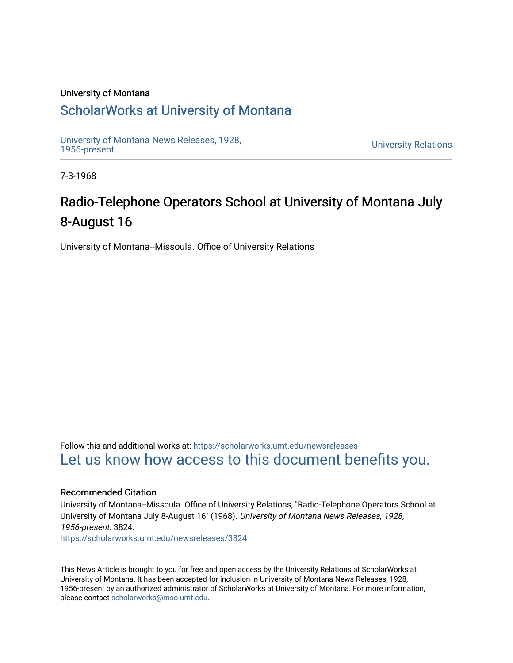#### University of Montana

### [ScholarWorks at University of Montana](https://scholarworks.umt.edu/)

[University of Montana News Releases, 1928,](https://scholarworks.umt.edu/newsreleases) 

**University Relations** 

7-3-1968

# Radio-Telephone Operators School at University of Montana July 8-August 16

University of Montana--Missoula. Office of University Relations

Follow this and additional works at: [https://scholarworks.umt.edu/newsreleases](https://scholarworks.umt.edu/newsreleases?utm_source=scholarworks.umt.edu%2Fnewsreleases%2F3824&utm_medium=PDF&utm_campaign=PDFCoverPages) [Let us know how access to this document benefits you.](https://goo.gl/forms/s2rGfXOLzz71qgsB2) 

#### Recommended Citation

University of Montana--Missoula. Office of University Relations, "Radio-Telephone Operators School at University of Montana July 8-August 16" (1968). University of Montana News Releases, 1928, 1956-present. 3824.

[https://scholarworks.umt.edu/newsreleases/3824](https://scholarworks.umt.edu/newsreleases/3824?utm_source=scholarworks.umt.edu%2Fnewsreleases%2F3824&utm_medium=PDF&utm_campaign=PDFCoverPages) 

This News Article is brought to you for free and open access by the University Relations at ScholarWorks at University of Montana. It has been accepted for inclusion in University of Montana News Releases, 1928, 1956-present by an authorized administrator of ScholarWorks at University of Montana. For more information, please contact [scholarworks@mso.umt.edu.](mailto:scholarworks@mso.umt.edu)